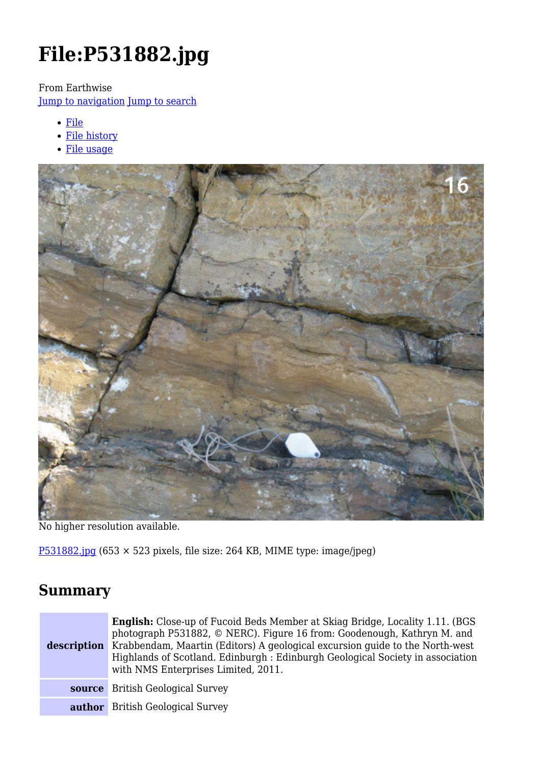# **File:P531882.jpg**

From Earthwise

[Jump to navigation](#page--1-0) [Jump to search](#page--1-0)

- [File](#page--1-0)
- [File history](#page--1-0)
- [File usage](#page--1-0)



No higher resolution available.

[P531882.jpg](http://earthwise.bgs.ac.uk/images/3/31/P531882.jpg) (653 × 523 pixels, file size: 264 KB, MIME type: image/jpeg)

### **Summary**

| description | <b>English:</b> Close-up of Fucoid Beds Member at Skiag Bridge, Locality 1.11. (BGS)<br>photograph P531882, © NERC). Figure 16 from: Goodenough, Kathryn M. and<br>Krabbendam, Maartin (Editors) A geological excursion guide to the North-west<br>Highlands of Scotland. Edinburgh : Edinburgh Geological Society in association<br>with NMS Enterprises Limited, 2011. |
|-------------|--------------------------------------------------------------------------------------------------------------------------------------------------------------------------------------------------------------------------------------------------------------------------------------------------------------------------------------------------------------------------|
|             | <b>source</b> British Geological Survey                                                                                                                                                                                                                                                                                                                                  |
|             | <b>author</b> British Geological Survey                                                                                                                                                                                                                                                                                                                                  |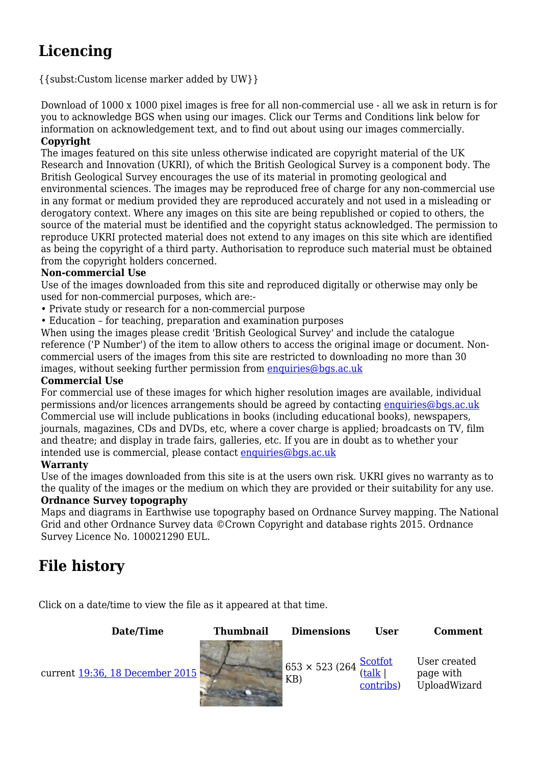## **Licencing**

{{subst:Custom license marker added by UW}}

Download of 1000 x 1000 pixel images is free for all non-commercial use - all we ask in return is for you to acknowledge BGS when using our images. Click our Terms and Conditions link below for information on acknowledgement text, and to find out about using our images commercially. **Copyright**

The images featured on this site unless otherwise indicated are copyright material of the UK Research and Innovation (UKRI), of which the British Geological Survey is a component body. The British Geological Survey encourages the use of its material in promoting geological and environmental sciences. The images may be reproduced free of charge for any non-commercial use in any format or medium provided they are reproduced accurately and not used in a misleading or derogatory context. Where any images on this site are being republished or copied to others, the source of the material must be identified and the copyright status acknowledged. The permission to reproduce UKRI protected material does not extend to any images on this site which are identified as being the copyright of a third party. Authorisation to reproduce such material must be obtained from the copyright holders concerned.

#### **Non-commercial Use**

Use of the images downloaded from this site and reproduced digitally or otherwise may only be used for non-commercial purposes, which are:-

- Private study or research for a non-commercial purpose
- Education for teaching, preparation and examination purposes

When using the images please credit 'British Geological Survey' and include the catalogue reference ('P Number') of the item to allow others to access the original image or document. Noncommercial users of the images from this site are restricted to downloading no more than 30 images, without seeking further permission from [enquiries@bgs.ac.uk](mailto:enquiries@bgs.ac.uk)

#### **Commercial Use**

For commercial use of these images for which higher resolution images are available, individual permissions and/or licences arrangements should be agreed by contacting [enquiries@bgs.ac.uk](mailto:enquiries@bgs.ac.uk) Commercial use will include publications in books (including educational books), newspapers, journals, magazines, CDs and DVDs, etc, where a cover charge is applied; broadcasts on TV, film and theatre; and display in trade fairs, galleries, etc. If you are in doubt as to whether your intended use is commercial, please contact [enquiries@bgs.ac.uk](mailto:enquiries@bgs.ac.uk)

#### **Warranty**

Use of the images downloaded from this site is at the users own risk. UKRI gives no warranty as to the quality of the images or the medium on which they are provided or their suitability for any use.

#### **Ordnance Survey topography**

Maps and diagrams in Earthwise use topography based on Ordnance Survey mapping. The National Grid and other Ordnance Survey data ©Crown Copyright and database rights 2015. Ordnance Survey Licence No. 100021290 EUL.

### **File history**

Click on a date/time to view the file as it appeared at that time.

**Date/Time Thumbnail Dimensions User Comment** current [19:36, 18 December 2015](http://earthwise.bgs.ac.uk/images/3/31/P531882.jpg) 653 × 523 (264 KB) **[Scotfot](http://earthwise.bgs.ac.uk/index.php/User:Scotfot)** ([talk](http://earthwise.bgs.ac.uk/index.php/User_talk:Scotfot) | [contribs](http://earthwise.bgs.ac.uk/index.php/Special:Contributions/Scotfot)) User created page with UploadWizard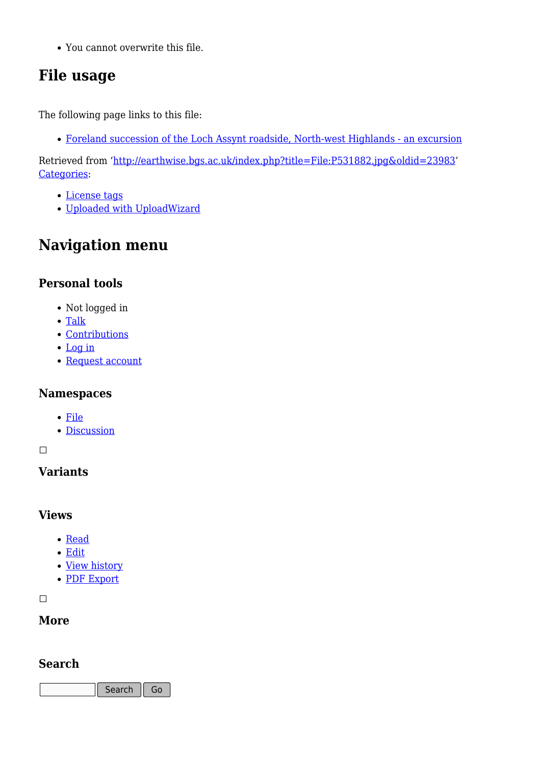You cannot overwrite this file.

### **File usage**

The following page links to this file:

[Foreland succession of the Loch Assynt roadside, North-west Highlands - an excursion](http://earthwise.bgs.ac.uk/index.php/Foreland_succession_of_the_Loch_Assynt_roadside,_North-west_Highlands_-_an_excursion)

Retrieved from ['http://earthwise.bgs.ac.uk/index.php?title=File:P531882.jpg&oldid=23983](http://earthwise.bgs.ac.uk/index.php?title=File:P531882.jpg&oldid=23983)' [Categories:](http://earthwise.bgs.ac.uk/index.php/Special:Categories)

- [License tags](http://earthwise.bgs.ac.uk/index.php/Category:License_tags)
- [Uploaded with UploadWizard](http://earthwise.bgs.ac.uk/index.php/Category:Uploaded_with_UploadWizard)

### **Navigation menu**

### **Personal tools**

- Not logged in
- [Talk](http://earthwise.bgs.ac.uk/index.php/Special:MyTalk)
- [Contributions](http://earthwise.bgs.ac.uk/index.php/Special:MyContributions)
- [Log in](http://earthwise.bgs.ac.uk/index.php?title=Special:UserLogin&returnto=File%3AP531882.jpg&returntoquery=action%3Dmpdf)
- [Request account](http://earthwise.bgs.ac.uk/index.php/Special:RequestAccount)

### **Namespaces**

- [File](http://earthwise.bgs.ac.uk/index.php/File:P531882.jpg)
- [Discussion](http://earthwise.bgs.ac.uk/index.php?title=File_talk:P531882.jpg&action=edit&redlink=1)

 $\Box$ 

### **Variants**

### **Views**

- [Read](http://earthwise.bgs.ac.uk/index.php/File:P531882.jpg)
- [Edit](http://earthwise.bgs.ac.uk/index.php?title=File:P531882.jpg&action=edit)
- [View history](http://earthwise.bgs.ac.uk/index.php?title=File:P531882.jpg&action=history)
- [PDF Export](http://earthwise.bgs.ac.uk/index.php?title=File:P531882.jpg&action=mpdf)

 $\overline{\phantom{a}}$ 

### **More**

### **Search**

Search Go